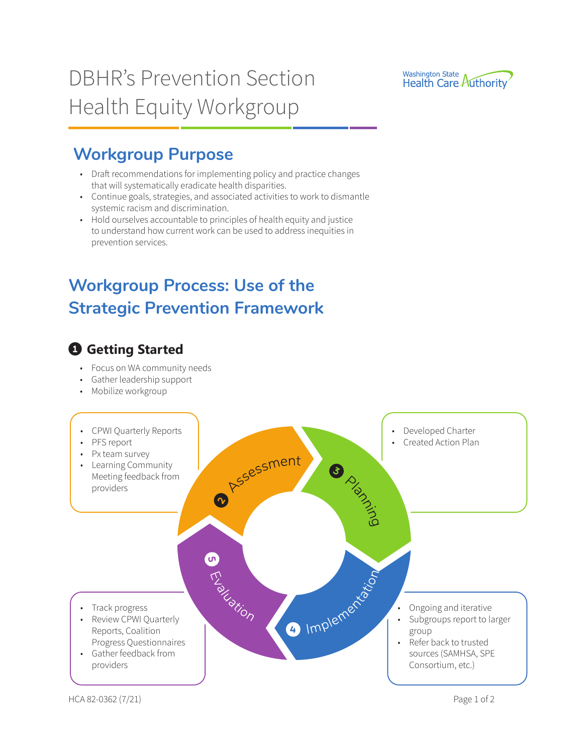

# DBHR's Prevention Section Health Equity Workgroup

## **Workgroup Purpose**

- Draft recommendations for implementing policy and practice changes that will systematically eradicate health disparities.
- Continue goals, strategies, and associated activities to work to dismantle systemic racism and discrimination.
- Hold ourselves accountable to principles of health equity and justice to understand how current work can be used to address inequities in prevention services.

# **Workgroup Process: Use of the Strategic Prevention Framework**

## **Q** Getting Started

- Focus on WA community needs
- Gather leadership support
- Mobilize workgroup